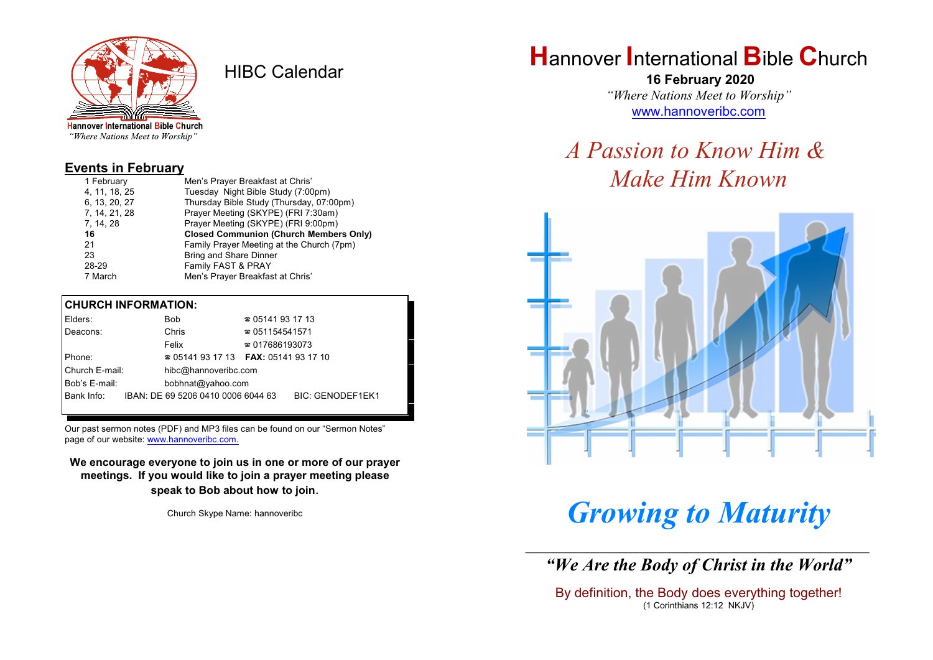

HIBC Calendar

"Where Nations Meet to Worship"

#### **Events in February**

| 1 February    | Men's Prayer Breakfast at Chris'              |
|---------------|-----------------------------------------------|
| 4, 11, 18, 25 | Tuesday Night Bible Study (7:00pm)            |
| 6, 13, 20, 27 | Thursday Bible Study (Thursday, 07:00pm)      |
| 7, 14, 21, 28 | Prayer Meeting (SKYPE) (FRI 7:30am)           |
| 7, 14, 28     | Prayer Meeting (SKYPE) (FRI 9:00pm)           |
| 16            | <b>Closed Communion (Church Members Only)</b> |
| 21            | Family Prayer Meeting at the Church (7pm)     |
| 23            | <b>Bring and Share Dinner</b>                 |
| 28-29         |                                               |
|               | Family FAST & PRAY                            |

#### **CHURCH INFORMATION:**

| Elders:        | <b>Bob</b>                                    | $\approx 05141931713$  |                         |
|----------------|-----------------------------------------------|------------------------|-------------------------|
| Deacons:       | Chris                                         | $\approx 051154541571$ |                         |
|                | Felix                                         | $\approx 017686193073$ |                         |
| <b>IPhone:</b> | $\approx 05141931713$ FAX: 0514193 17 10      |                        |                         |
| Church E-mail: | hibc@hannoveribc.com                          |                        |                         |
| Bob's E-mail:  | bobhnat@yahoo.com                             |                        |                         |
|                | Bank Info: IBAN: DE 69 5206 0410 0006 6044 63 |                        | <b>BIC: GENODEF1EK1</b> |
|                |                                               |                        |                         |

Our past sermon notes (PDF) and MP3 files can be found on our "Sermon Notes" page of our website: [www.hannoveribc.com.](http://www.hannoveribc.com.)

**We encourage everyone to join us in one or more of our prayer meetings. If you would like to join a prayer meeting please speak to Bob about how to join**.

Church Skype Name: hannoveribc

## **H**annover **I**nternational **B**ible **C**hurch

 **16 February 2020** *"Where Nations Meet to Worship"* [www.hannoveribc.com](http://www.hannoveribc.com)

# *A Passion to Know Him & Make Him Known*



# *Growing to Maturity*

\_\_\_\_\_\_\_\_\_\_\_\_\_\_\_\_\_\_\_\_\_\_\_\_\_\_\_\_\_\_\_\_\_\_\_\_\_\_\_\_\_\_\_\_\_\_\_\_\_\_\_\_\_\_\_\_\_\_\_\_\_\_ *"We Are the Body of Christ in the World"*

By definition, the Body does everything together! (1 Corinthians 12:12 NKJV)